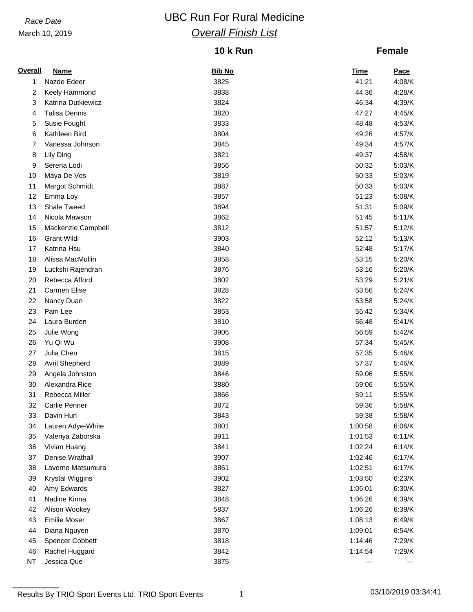# *Race Date* **CONSISTENT** UBC Run For Rural Medicine *Overall Finish List*

## **10 k Run**

### **Female**

| <b>Overall</b> | Name                   | <b>Bib No</b> | Time    | <b>Pace</b> |
|----------------|------------------------|---------------|---------|-------------|
| 1              | Nazde Edeer            | 3825          | 41:21   | 4:08/K      |
| 2              | Keely Hammond          | 3838          | 44:36   | 4:28/K      |
| 3              | Katrina Dutkiewicz     | 3824          | 46:34   | 4:39/K      |
| 4              | <b>Talisa Dennis</b>   | 3820          | 47:27   | 4:45/K      |
| 5              | Susie Fought           | 3833          | 48:48   | 4:53/K      |
| 6              | Kathleen Bird          | 3804          | 49:26   | 4:57/K      |
| 7              | Vanessa Johnson        | 3845          | 49:34   | 4:57/K      |
| 8              | Lily Ding              | 3821          | 49:37   | 4:58/K      |
| 9              | Serena Lodi            | 3856          | 50:32   | 5:03/K      |
| 10             | Maya De Vos            | 3819          | 50:33   | 5:03/K      |
| 11             | Margot Schmidt         | 3887          | 50:33   | 5:03/K      |
| 12             | Emma Loy               | 3857          | 51:23   | 5:08/K      |
| 13             | Shale Tweed            | 3894          | 51:31   | 5:09/K      |
| 14             | Nicola Mawson          | 3862          | 51:45   | 5:11/K      |
| 15             | Mackenzie Campbell     | 3812          | 51:57   | 5:12/K      |
| 16             | <b>Grant Wildi</b>     | 3903          | 52:12   | 5:13/K      |
| 17             | Katrina Hsu            | 3840          | 52:48   | 5:17/K      |
| 18             | Alissa MacMullin       | 3858          | 53:15   | 5:20/K      |
| 19             | Luckshi Rajendran      | 3876          | 53:16   | 5:20/K      |
| 20             | Rebecca Afford         | 3802          | 53:29   | 5:21/K      |
| 21             | Carmen Elise           | 3828          | 53:56   | 5:24/K      |
| 22             | Nancy Duan             | 3822          | 53:58   | 5:24/K      |
| 23             | Pam Lee                | 3853          | 55:42   | 5:34/K      |
| 24             | Laura Burden           | 3810          | 56:48   | 5:41/K      |
| 25             | Julie Wong             | 3906          | 56:59   | 5:42/K      |
| 26             | Yu Qi Wu               | 3908          | 57:34   | 5:45/K      |
| 27             | Julia Chen             | 3815          | 57:35   | 5:46/K      |
| 28             | Avril Shepherd         | 3889          | 57:37   | 5:46/K      |
| 29             | Angela Johnston        | 3846          | 59:06   | 5:55/K      |
| 30             | Alexandra Rice         | 3880          | 59:06   | 5:55/K      |
| 31             | Rebecca Miller         | 3866          | 59:11   | 5:55/K      |
| 32             | Carlie Penner          | 3872          | 59:36   | 5:58/K      |
| 33             | Davin Hun              | 3843          | 59:38   | 5:58/K      |
| 34             | Lauren Adye-White      | 3801          | 1:00:58 | 6:06/K      |
| 35             | Valeriya Zaborska      | 3911          | 1:01:53 | 6:11/K      |
| 36             | Vivian Huang           | 3841          | 1:02:24 | 6:14/K      |
| 37             | Denise Wrathall        | 3907          | 1:02:46 | 6:17/K      |
| 38             | Laverne Matsumura      | 3861          | 1:02:51 | 6:17/K      |
| 39             | <b>Krystal Wiggins</b> | 3902          | 1:03:50 | 6:23/K      |
| 40             | Amy Edwards            | 3827          | 1:05:01 | 6:30/K      |
| 41             | Nadine Kinna           | 3848          | 1:06:26 | 6:39/K      |
| 42             | Alison Wookey          | 5837          | 1:06:26 | 6:39/K      |
| 43             | <b>Emilie Moser</b>    | 3867          | 1:08:13 | 6:49/K      |
| 44             | Diana Nguyen           | 3870          | 1:09:01 | 6:54/K      |
| 45             | <b>Spencer Cobbett</b> | 3818          | 1:14:46 | 7:29/K      |
| 46             | Rachel Huggard         | 3842          | 1:14:54 | 7:29/K      |
| <b>NT</b>      | Jessica Que            | 3875          | ---     |             |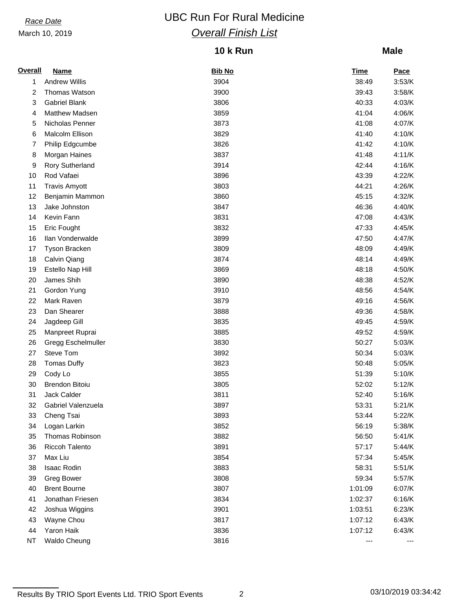# *Race Date* **CONSISTENT** UBC Run For Rural Medicine *Overall Finish List*

## **10 k Run**

### **Male**

| <b>Overall</b> | <b>Name</b>            | <b>Bib No</b> | Time    | <b>Pace</b> |
|----------------|------------------------|---------------|---------|-------------|
| 1              | <b>Andrew Willis</b>   | 3904          | 38:49   | 3:53/K      |
| 2              | Thomas Watson          | 3900          | 39:43   | 3:58/K      |
| 3              | <b>Gabriel Blank</b>   | 3806          | 40:33   | 4:03/K      |
| 4              | Matthew Madsen         | 3859          | 41:04   | 4:06/K      |
| 5              | Nicholas Penner        | 3873          | 41:08   | 4:07/K      |
| 6              | Malcolm Ellison        | 3829          | 41:40   | 4:10/K      |
| 7              | Philip Edgcumbe        | 3826          | 41:42   | 4:10/K      |
| 8              | Morgan Haines          | 3837          | 41:48   | 4:11/K      |
| 9              | <b>Rory Sutherland</b> | 3914          | 42:44   | 4:16/K      |
| 10             | Rod Vafaei             | 3896          | 43:39   | 4:22/K      |
| 11             | <b>Travis Amyott</b>   | 3803          | 44:21   | 4:26/K      |
| 12             | Benjamin Mammon        | 3860          | 45:15   | 4:32/K      |
| 13             | Jake Johnston          | 3847          | 46:36   | 4:40/K      |
| 14             | Kevin Fann             | 3831          | 47:08   | 4:43/K      |
| 15             | Eric Fought            | 3832          | 47:33   | 4:45/K      |
| 16             | Ilan Vonderwalde       | 3899          | 47:50   | 4:47/K      |
| 17             | <b>Tyson Bracken</b>   | 3809          | 48:09   | 4:49/K      |
| 18             | Calvin Qiang           | 3874          | 48:14   | 4:49/K      |
| 19             | Estello Nap Hill       | 3869          | 48:18   | 4:50/K      |
| 20             | James Shih             | 3890          | 48:38   | 4:52/K      |
| 21             | Gordon Yung            | 3910          | 48:56   | 4:54/K      |
| 22             | Mark Raven             | 3879          | 49:16   | 4:56/K      |
| 23             | Dan Shearer            | 3888          | 49:36   | 4:58/K      |
| 24             | Jagdeep Gill           | 3835          | 49:45   | 4:59/K      |
| 25             | Manpreet Ruprai        | 3885          | 49:52   | 4:59/K      |
| 26             | Gregg Eschelmuller     | 3830          | 50:27   | 5:03/K      |
| 27             | Steve Tom              | 3892          | 50:34   | 5:03/K      |
| 28             | <b>Tomas Duffy</b>     | 3823          | 50:48   | 5:05/K      |
| 29             | Cody Lo                | 3855          | 51:39   | 5:10/K      |
| 30             | <b>Brendon Bitoiu</b>  | 3805          | 52:02   | 5:12/K      |
| 31             | Jack Calder            | 3811          | 52:40   | 5:16/K      |
| 32             | Gabriel Valenzuela     | 3897          | 53:31   | 5:21/K      |
| 33             | Cheng Tsai             | 3893          | 53:44   | 5:22/K      |
| 34             | Logan Larkin           | 3852          | 56:19   | 5:38/K      |
| 35             | Thomas Robinson        | 3882          | 56:50   | 5:41/K      |
| 36             | <b>Riccoh Talento</b>  | 3891          | 57:17   | 5:44/K      |
| 37             | Max Liu                | 3854          | 57:34   | 5:45/K      |
| 38             | Isaac Rodin            | 3883          | 58:31   | 5:51/K      |
| 39             | <b>Greg Bower</b>      | 3808          | 59:34   | 5:57/K      |
| 40             | <b>Brent Bourne</b>    | 3807          | 1:01:09 | 6:07/K      |
| 41             | Jonathan Friesen       | 3834          | 1:02:37 | 6:16/K      |
| 42             | Joshua Wiggins         | 3901          | 1:03:51 | 6:23/K      |
| 43             | Wayne Chou             | 3817          | 1:07:12 | 6:43/K      |
| 44             | Yaron Haik             | 3836          | 1:07:12 | 6:43/K      |
| <b>NT</b>      | <b>Waldo Cheung</b>    | 3816          | ---     |             |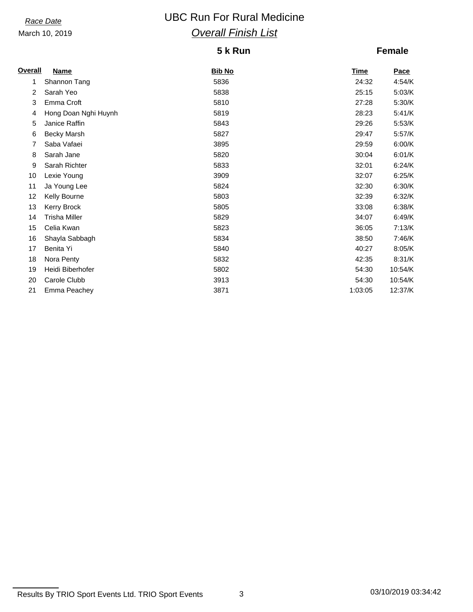# *Race Date* **CONSISTENT** UBC Run For Rural Medicine *Overall Finish List*

### **5 k Run**

## **Female**

| <b>Overall</b> | Name                 | <b>Bib No</b> | <u>Time</u> | Pace    |
|----------------|----------------------|---------------|-------------|---------|
| 1              | Shannon Tang         | 5836          | 24:32       | 4:54/K  |
| $\overline{2}$ | Sarah Yeo            | 5838          | 25:15       | 5:03/K  |
| 3              | Emma Croft           | 5810          | 27:28       | 5:30/K  |
| 4              | Hong Doan Nghi Huynh | 5819          | 28:23       | 5:41/K  |
| 5              | Janice Raffin        | 5843          | 29:26       | 5:53/K  |
| 6              | <b>Becky Marsh</b>   | 5827          | 29:47       | 5:57/K  |
| 7              | Saba Vafaei          | 3895          | 29:59       | 6:00/K  |
| 8              | Sarah Jane           | 5820          | 30:04       | 6:01/K  |
| 9              | Sarah Richter        | 5833          | 32:01       | 6:24/K  |
| 10             | Lexie Young          | 3909          | 32:07       | 6:25/K  |
| 11             | Ja Young Lee         | 5824          | 32:30       | 6:30/K  |
| 12             | Kelly Bourne         | 5803          | 32:39       | 6:32/K  |
| 13             | <b>Kerry Brock</b>   | 5805          | 33:08       | 6:38/K  |
| 14             | <b>Trisha Miller</b> | 5829          | 34:07       | 6:49/K  |
| 15             | Celia Kwan           | 5823          | 36:05       | 7:13/K  |
| 16             | Shayla Sabbagh       | 5834          | 38:50       | 7:46/K  |
| 17             | Benita Yi            | 5840          | 40:27       | 8:05/K  |
| 18             | Nora Penty           | 5832          | 42:35       | 8:31/K  |
| 19             | Heidi Biberhofer     | 5802          | 54:30       | 10:54/K |
| 20             | Carole Clubb         | 3913          | 54:30       | 10:54/K |
| 21             | Emma Peachey         | 3871          | 1:03:05     | 12:37/K |

Results By TRIO Sport Events Ltd. TRIO Sport Events 3 03/10/2019 03:34:42